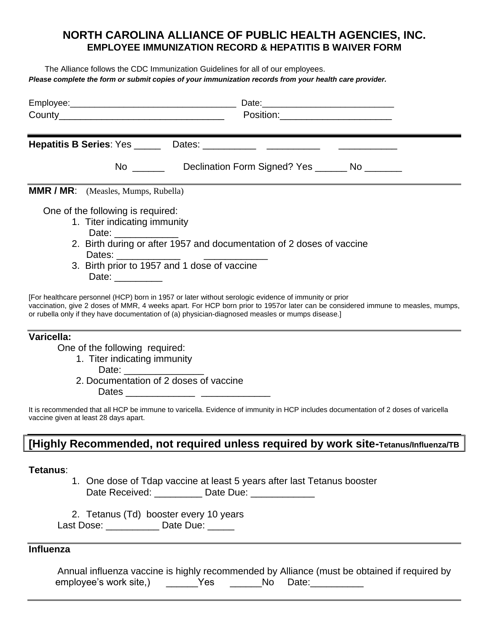### **NORTH CAROLINA ALLIANCE OF PUBLlC HEALTH AGENCIES, INC. EMPLOYEE IMMUNIZATION RECORD & HEPATITIS B WAIVER FORM**

The Alliance follows the CDC Immunization Guidelines for all of our employees. *Please complete the form or submit copies of your immunization records from your health care provider.* 

|                            | Position: The contract of the contract of the contract of the contract of the contract of the contract of the contract of the contract of the contract of the contract of the contract of the contract of the contract of the                                                                                                                |
|----------------------------|----------------------------------------------------------------------------------------------------------------------------------------------------------------------------------------------------------------------------------------------------------------------------------------------------------------------------------------------|
| <u> Tanzania (m. 1888)</u> |                                                                                                                                                                                                                                                                                                                                              |
|                            | No _______________Declination Form Signed? Yes _________ No __________                                                                                                                                                                                                                                                                       |
|                            | <b>MMR / MR:</b> (Measles, Mumps, Rubella)                                                                                                                                                                                                                                                                                                   |
|                            | One of the following is required:<br>1. Titer indicating immunity<br>Date: _____________<br>2. Birth during or after 1957 and documentation of 2 doses of vaccine<br>Dates: ______________<br>3. Birth prior to 1957 and 1 dose of vaccine<br>Date: _________                                                                                |
|                            | [For healthcare personnel (HCP) born in 1957 or later without serologic evidence of immunity or prior<br>vaccination, give 2 doses of MMR, 4 weeks apart. For HCP born prior to 1957or later can be considered immune to measles, mumps,<br>or rubella only if they have documentation of (a) physician-diagnosed measles or mumps disease.] |
| Varicella:                 | One of the following required:<br>1. Titer indicating immunity<br>2. Documentation of 2 doses of vaccine<br>It is recommended that all HCP be immune to varicella. Evidence of immunity in HCP includes documentation of 2 doses of varicella<br>vaccine given at least 28 days apart.                                                       |
|                            | [Highly Recommended, not required unless required by work site-Tetanus/Influenza/TB                                                                                                                                                                                                                                                          |
| Tetanus:                   | 1. One dose of Tdap vaccine at least 5 years after last Tetanus booster<br>Date Received: ___________ Date Due: _____________                                                                                                                                                                                                                |
|                            | 2. Tetanus (Td) booster every 10 years<br>Last Dose: Dose Date Due:                                                                                                                                                                                                                                                                          |

#### **Influenza**

Annual influenza vaccine is highly recommended by Alliance (must be obtained if required by employee's work site,) The State State: The Date: